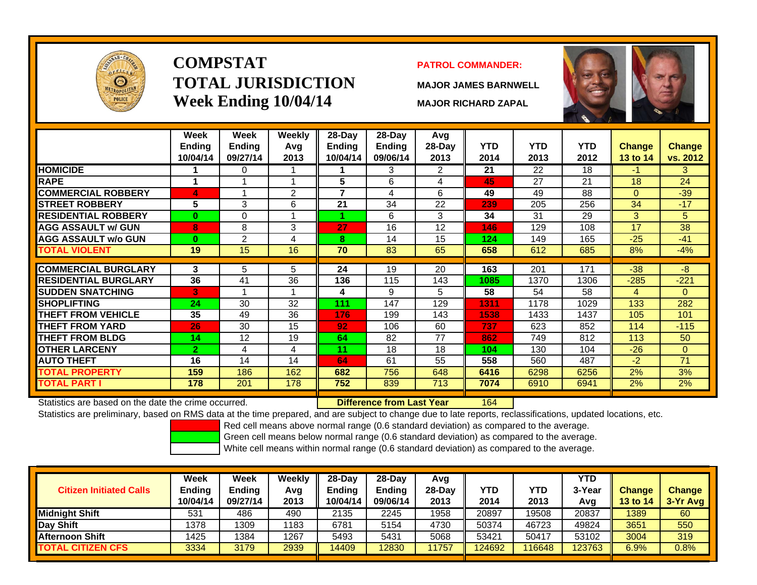

# **COMPSTATTOTAL JURISDICTIONWeek Ending 10/04/14 MAJOR RICHARD ZAPAL**

### **PATROL COMMANDER:**

**MAJOR JAMES BARNWELL**



|                             | Week<br><b>Ending</b><br>10/04/14 | Week<br>Endina<br>09/27/14 | Weekly<br>Avg<br>2013 | 28-Day<br><b>Ending</b><br>10/04/14 | 28-Day<br><b>Endina</b><br>09/06/14 | Avg<br>$28-Day$<br>2013 | <b>YTD</b><br>2014 | <b>YTD</b><br>2013 | <b>YTD</b><br>2012 | <b>Change</b><br>13 to 14 | <b>Change</b><br>vs. 2012 |
|-----------------------------|-----------------------------------|----------------------------|-----------------------|-------------------------------------|-------------------------------------|-------------------------|--------------------|--------------------|--------------------|---------------------------|---------------------------|
| <b>HOMICIDE</b>             |                                   | $\Omega$                   |                       |                                     | 3                                   | $\overline{2}$          | 21                 | 22                 | 18                 | $-1$                      | 3                         |
| <b>RAPE</b>                 | 1                                 |                            |                       | 5                                   | 6                                   | 4                       | 45                 | 27                 | 21                 | 18                        | 24                        |
| <b>COMMERCIAL ROBBERY</b>   | 4                                 |                            | 2                     | 7                                   | 4                                   | 6                       | 49                 | 49                 | 88                 | $\overline{0}$            | $-39$                     |
| <b>STREET ROBBERY</b>       | 5                                 | 3                          | 6                     | 21                                  | 34                                  | 22                      | 239                | 205                | 256                | 34                        | $-17$                     |
| <b>RESIDENTIAL ROBBERY</b>  | $\mathbf{0}$                      | 0                          |                       |                                     | 6                                   | 3                       | 34                 | 31                 | 29                 | 3                         | 5                         |
| <b>AGG ASSAULT w/ GUN</b>   | 8                                 | 8                          | 3                     | 27                                  | 16                                  | 12                      | 146                | 129                | 108                | 17                        | 38                        |
| <b>AGG ASSAULT w/o GUN</b>  | $\bf{0}$                          | 2                          | 4                     | 8                                   | 14                                  | 15                      | 124                | 149                | 165                | $-25$                     | $-41$                     |
| <b>TOTAL VIOLENT</b>        | 19                                | 15                         | 16                    | 70                                  | 83                                  | 65                      | 658                | 612                | 685                | 8%                        | $-4%$                     |
|                             |                                   |                            |                       |                                     |                                     |                         |                    |                    |                    |                           |                           |
| <b>COMMERCIAL BURGLARY</b>  | 3                                 | 5                          | 5                     | 24                                  | 19                                  | 20                      | 163                | 201                | 171                | $-38$                     | $-8$                      |
| <b>RESIDENTIAL BURGLARY</b> | 36                                | 41                         | 36                    | 136                                 | 115                                 | 143                     | 1085               | 1370               | 1306               | $-285$                    | $-221$                    |
| <b>SUDDEN SNATCHING</b>     | 3.                                |                            |                       | 4                                   | 9                                   | 5.                      | 58                 | 54                 | 58                 | 4                         | $\Omega$                  |
| <b>ISHOPLIFTING</b>         | 24                                | 30                         | 32                    | 111                                 | 147                                 | 129                     | 1311               | 1178               | 1029               | 133                       | 282                       |
| <b>THEFT FROM VEHICLE</b>   | 35                                | 49                         | 36                    | 176                                 | 199                                 | 143                     | 1538               | 1433               | 1437               | 105                       | 101                       |
| <b>THEFT FROM YARD</b>      | 26                                | 30                         | 15                    | 92                                  | 106                                 | 60                      | 737                | 623                | 852                | 114                       | $-115$                    |
| <b>THEFT FROM BLDG</b>      | 14                                | 12                         | 19                    | 64                                  | 82                                  | 77                      | 862                | 749                | 812                | 113                       | 50                        |
| <b>OTHER LARCENY</b>        | $\overline{2}$                    | 4                          | 4                     | 11                                  | 18                                  | 18                      | 104                | 130                | 104                | $-26$                     | $\overline{0}$            |
| <b>AUTO THEFT</b>           | 16                                | 14                         | 14                    | 64                                  | 61                                  | 55                      | 558                | 560                | 487                | $-2$                      | 71                        |
| <b>TOTAL PROPERTY</b>       | 159                               | 186                        | 162                   | 682                                 | 756                                 | 648                     | 6416               | 6298               | 6256               | 2%                        | 3%                        |
| <b>TOTAL PART I</b>         | 178                               | 201                        | 178                   | 752                                 | 839                                 | 713                     | 7074               | 6910               | 6941               | 2%                        | 2%                        |

Statistics are based on the date the crime occurred. **Difference from Last Year** 

164

Statistics are preliminary, based on RMS data at the time prepared, and are subject to change due to late reports, reclassifications, updated locations, etc.

Red cell means above normal range (0.6 standard deviation) as compared to the average.

Green cell means below normal range (0.6 standard deviation) as compared to the average.

| <b>Citizen Initiated Calls</b> | Week<br>Ending<br>10/04/14 | <b>Week</b><br><b>Ending</b><br>09/27/14 | Weekly<br>Avg<br>2013 | 28-Dav<br><b>Endina</b><br>10/04/14 | 28-Dav<br><b>Ending</b><br>09/06/14 | Avq<br>28-Dav<br>2013 | YTD<br>2014 | YTD<br>2013 | YTD<br>3-Year<br>Avg | <b>Change</b><br><b>13 to 14</b> | <b>Change</b><br>3-Yr Avg |
|--------------------------------|----------------------------|------------------------------------------|-----------------------|-------------------------------------|-------------------------------------|-----------------------|-------------|-------------|----------------------|----------------------------------|---------------------------|
| <b>Midnight Shift</b>          | 531                        | 486                                      | 490                   | 2135                                | 2245                                | 1958                  | 20897       | 19508       | 20837                | 1389                             | 60                        |
| <b>Day Shift</b>               | 1378                       | 1309                                     | 1183                  | 6781                                | 5154                                | 4730                  | 50374       | 46723       | 49824                | 3651                             | 550                       |
| <b>Afternoon Shift</b>         | 1425                       | 1384                                     | 1267                  | 5493                                | 5431                                | 5068                  | 53421       | 50417       | 53102                | 3004                             | 319                       |
| <b>TOTAL CITIZEN CFS</b>       | 3334                       | 3179                                     | 2939                  | 14409                               | 12830                               | 11757                 | 124692      | 116648      | 123763               | 6.9%                             | $0.8\%$                   |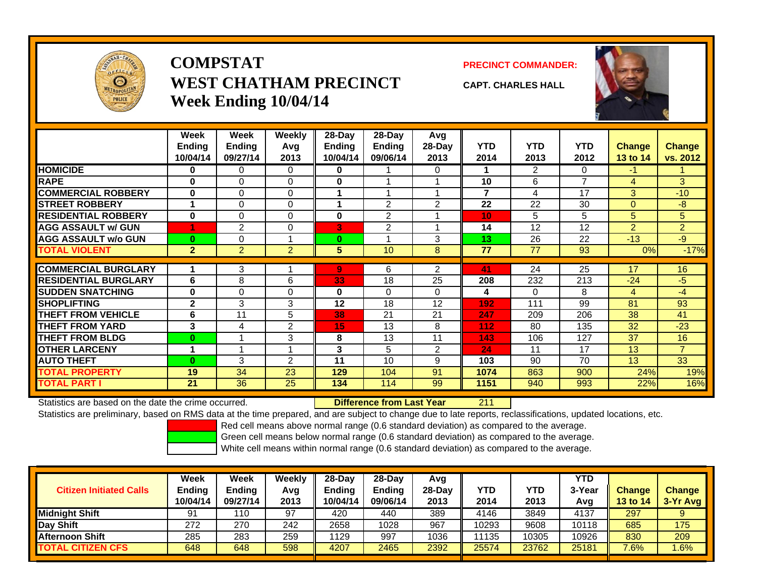

# **COMPSTATWEST CHATHAM PRECINCTWeek Ending 10/04/14**

**PRECINCT COMMANDER:**



**CAPT. CHARLES HALL**

|                             | Week<br>Ending<br>10/04/14 | <b>Week</b><br><b>Ending</b><br>09/27/14 | Weekly<br>Avg<br>2013 | 28-Day<br><b>Ending</b><br>10/04/14 | 28-Day<br>Ending<br>09/06/14 | Avg<br>28-Day<br>2013   | <b>YTD</b><br>2014 | <b>YTD</b><br>2013 | <b>YTD</b><br>2012 | <b>Change</b><br>13 to 14 | <b>Change</b><br>vs. 2012 |
|-----------------------------|----------------------------|------------------------------------------|-----------------------|-------------------------------------|------------------------------|-------------------------|--------------------|--------------------|--------------------|---------------------------|---------------------------|
| <b>HOMICIDE</b>             | 0                          | $\mathbf 0$                              | 0                     | $\bf{0}$                            |                              | 0                       |                    | 2                  | 0                  | $-1$                      |                           |
| <b>RAPE</b>                 | 0                          | $\Omega$                                 | 0                     | $\bf{0}$                            |                              |                         | 10                 | 6                  | $\overline{7}$     | 4                         | 3                         |
| <b>COMMERCIAL ROBBERY</b>   | 0                          | 0                                        | 0                     |                                     |                              |                         | 7                  | 4                  | 17                 | 3                         | $-10$                     |
| <b>STREET ROBBERY</b>       |                            | $\Omega$                                 | $\Omega$              | 1                                   | $\overline{2}$               | $\overline{2}$          | 22                 | 22                 | 30                 | $\Omega$                  | $-8$                      |
| <b>RESIDENTIAL ROBBERY</b>  | 0                          | $\Omega$                                 | 0                     | 0                                   | $\overline{2}$               |                         | 10 <sub>1</sub>    | 5                  | 5.                 | 5                         | 5                         |
| <b>AGG ASSAULT w/ GUN</b>   | и                          | 2                                        | 0                     | 3                                   | $\overline{2}$               | $\overline{\mathbf{A}}$ | 14                 | 12                 | 12                 | $\overline{2}$            | $\overline{2}$            |
| <b>AGG ASSAULT w/o GUN</b>  | $\bf{0}$                   | $\Omega$                                 |                       | $\bf{0}$                            |                              | 3                       | 13                 | 26                 | 22                 | $-13$                     | $-9$                      |
| TOTAL VIOLENT               | $\overline{2}$             | $\overline{2}$                           | $\overline{2}$        | 5                                   | 10                           | 8                       | $\overline{77}$    | 77                 | 93                 | 0%                        | $-17%$                    |
|                             |                            |                                          |                       |                                     |                              |                         |                    |                    |                    |                           |                           |
| <b>COMMERCIAL BURGLARY</b>  |                            | 3                                        |                       | 9                                   | 6                            | $\overline{2}$          | 41                 | 24                 | 25                 | 17                        | 16                        |
| <b>RESIDENTIAL BURGLARY</b> | 6                          | 8                                        | 6                     | 33                                  | 18                           | 25                      | 208                | 232                | 213                | $-24$                     | $-5$                      |
| <b>SUDDEN SNATCHING</b>     | 0                          | $\Omega$                                 | 0                     | 0                                   | 0                            | $\Omega$                | 4                  | $\Omega$           | 8                  | $\overline{4}$            | $-4$                      |
| <b>SHOPLIFTING</b>          | $\mathbf{2}$               | 3                                        | 3                     | 12                                  | 18                           | 12                      | 192                | 111                | 99                 | 81                        | 93                        |
| <b>THEFT FROM VEHICLE</b>   | 6                          | 11                                       | 5                     | 38                                  | 21                           | 21                      | 247                | 209                | 206                | 38                        | 41                        |
| <b>THEFT FROM YARD</b>      | 3                          | 4                                        | $\overline{2}$        | 15                                  | 13                           | 8                       | 112                | 80                 | 135                | 32                        | $-23$                     |
| <b>THEFT FROM BLDG</b>      | $\bf{0}$                   |                                          | 3                     | 8                                   | 13                           | 11                      | 143                | 106                | 127                | 37                        | 16                        |
| <b>OTHER LARCENY</b>        | 1                          | и                                        | 4                     | 3                                   | 5                            | $\overline{2}$          | 24                 | 11                 | 17                 | 13                        | $\overline{7}$            |
| <b>AUTO THEFT</b>           | $\bf{0}$                   | 3                                        | $\overline{2}$        | 11                                  | 10                           | 9                       | 103                | 90                 | 70                 | 13                        | 33                        |
| <b>TOTAL PROPERTY</b>       | 19                         | 34                                       | 23                    | 129                                 | 104                          | 91                      | 1074               | 863                | 900                | 24%                       | 19%                       |
| <b>TOTAL PART I</b>         | 21                         | 36                                       | 25                    | 134                                 | 114                          | 99                      | 1151               | 940                | 993                | 22%                       | 16%                       |

Statistics are based on the date the crime occurred. **Difference from Last Year** 

211

Statistics are preliminary, based on RMS data at the time prepared, and are subject to change due to late reports, reclassifications, updated locations, etc.

Red cell means above normal range (0.6 standard deviation) as compared to the average.

Green cell means below normal range (0.6 standard deviation) as compared to the average.

| <b>Citizen Initiated Calls</b> | <b>Week</b><br>Ending<br>10/04/14 | <b>Week</b><br><b>Ending</b><br>09/27/14 | Weekly<br>Avg<br>2013 | $28-Day$<br><b>Ending</b><br>10/04/14 | 28-Dav<br><b>Ending</b><br>09/06/14 | Avg<br>28-Day<br>2013 | YTD<br>2014 | YTD<br>2013 | YTD<br>3-Year<br>Avg | <b>Change</b><br><b>13 to 14</b> | <b>Change</b><br>$3-Yr$ Avg |
|--------------------------------|-----------------------------------|------------------------------------------|-----------------------|---------------------------------------|-------------------------------------|-----------------------|-------------|-------------|----------------------|----------------------------------|-----------------------------|
| <b>Midnight Shift</b>          | 91                                | 110                                      | 97                    | 420                                   | 440                                 | 389                   | 4146        | 3849        | 4137                 | 297                              | 9                           |
| Day Shift                      | 272                               | 270                                      | 242                   | 2658                                  | 1028                                | 967                   | 10293       | 9608        | 10118                | 685                              | 175                         |
| <b>Afternoon Shift</b>         | 285                               | 283                                      | 259                   | 1129                                  | 997                                 | 1036                  | 11135       | 10305       | 10926                | 830                              | 209                         |
| <b>TOTAL CITIZEN CFS</b>       | 648                               | 648                                      | 598                   | 4207                                  | 2465                                | 2392                  | 25574       | 23762       | 25181                | 7.6%                             | .6%                         |

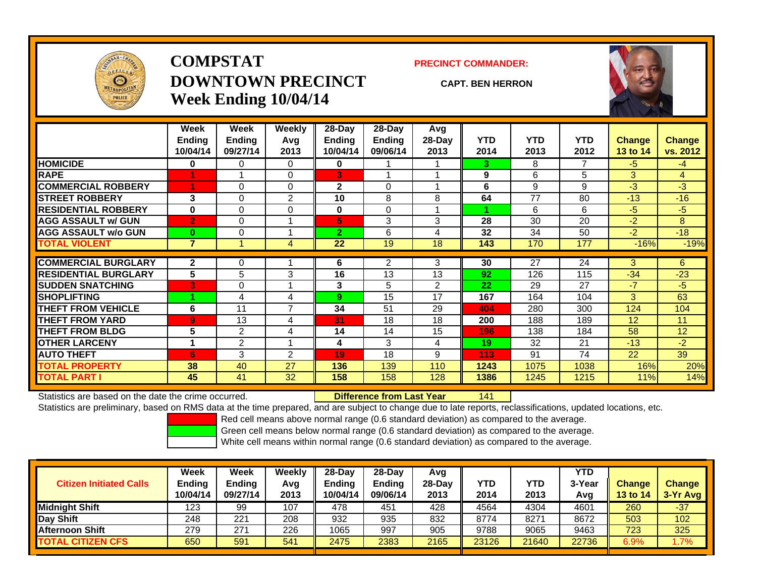

## **COMPSTATDOWNTOWN PRECINCTWeek Ending 10/04/14**

#### **PRECINCT COMMANDER:**

#### **CAPT. BEN HERRON**

141



|                             | Week           | Week           | Weekly                   | $28$ -Day      | $28-Day$       | Avg            |            |            |            |               |               |
|-----------------------------|----------------|----------------|--------------------------|----------------|----------------|----------------|------------|------------|------------|---------------|---------------|
|                             | <b>Endina</b>  | <b>Ending</b>  | Avg                      | <b>Ending</b>  | <b>Endina</b>  | $28-Day$       | <b>YTD</b> | <b>YTD</b> | <b>YTD</b> | <b>Change</b> | <b>Change</b> |
|                             | 10/04/14       | 09/27/14       | 2013                     | 10/04/14       | 09/06/14       | 2013           | 2014       | 2013       | 2012       | 13 to 14      | vs. 2012      |
| <b>HOMICIDE</b>             | 0              | 0              | 0                        | 0              |                |                | 3          | 8          | 7          | $-5$          | -4            |
| <b>RAPE</b>                 |                |                | 0                        | B              |                |                | 9          | 6          | 5          | 3             | 4             |
| <b>COMMERCIAL ROBBERY</b>   |                | 0              | 0                        | $\mathbf{2}$   | 0              |                | 6          | 9          | 9          | $-3$          | $-3$          |
| <b>ISTREET ROBBERY</b>      | 3              | 0              | 2                        | 10             | 8              | 8              | 64         | 77         | 80         | $-13$         | $-16$         |
| <b>RESIDENTIAL ROBBERY</b>  | $\bf{0}$       | 0              | 0                        | 0              | 0              |                |            | 6          | 6          | $-5$          | $-5$          |
| <b>AGG ASSAULT w/ GUN</b>   | $\overline{2}$ | 0              |                          | 5.             | 3              | 3              | 28         | 30         | 20         | $-2$          | 8             |
| <b>AGG ASSAULT w/o GUN</b>  | $\bf{0}$       | 0              |                          | $\overline{2}$ | 6              | 4              | 32         | 34         | 50         | $-2$          | $-18$         |
| <b>TOTAL VIOLENT</b>        | 7              |                | 4                        | 22             | 19             | 18             | 143        | 170        | 177        | $-16%$        | $-19%$        |
| <b>COMMERCIAL BURGLARY</b>  | $\mathbf{2}$   | 0              |                          | 6              | $\overline{2}$ | 3              | 30         | 27         | 24         | 3             | 6             |
| <b>RESIDENTIAL BURGLARY</b> | 5              |                | 3                        |                | 13             | 13             | 92         |            |            | $-34$         | $-23$         |
|                             |                | 5              |                          | 16             |                |                |            | 126        | 115        |               |               |
| <b>SUDDEN SNATCHING</b>     | 3              | 0              |                          | 3              | 5              | $\overline{2}$ | 22         | 29         | 27         | $-7$          | $-5$          |
| <b>ISHOPLIFTING</b>         |                | 4              | 4                        | 9              | 15             | 17             | 167        | 164        | 104        | 3             | 63            |
| <b>THEFT FROM VEHICLE</b>   | 6              | 11             | $\overline{\phantom{a}}$ | 34             | 51             | 29             | 404        | 280        | 300        | 124           | 104           |
| <b>THEFT FROM YARD</b>      | 9              | 13             | 4                        | 31             | 18             | 18             | 200        | 188        | 189        | 12            | 11            |
| <b>THEFT FROM BLDG</b>      | 5              | 2              | 4                        | 14             | 14             | 15             | 196        | 138        | 184        | 58            | 12            |
| <b>OTHER LARCENY</b>        | 1              | $\overline{2}$ |                          | 4              | 3              | 4              | 19         | 32         | 21         | $-13$         | $-2$          |
| <b>AUTO THEFT</b>           | 6              | 3              | 2                        | 19             | 18             | 9              | 113        | 91         | 74         | 22            | 39            |
| <b>TOTAL PROPERTY</b>       | 38             | 40             | 27                       | 136            | 139            | 110            | 1243       | 1075       | 1038       | 16%           | 20%           |
| <b>TOTAL PART I</b>         | 45             | 41             | 32                       | 158            | 158            | 128            | 1386       | 1245       | 1215       | 11%           | 14%           |

Statistics are based on the date the crime occurred. **Difference from Last Year** 

Statistics are preliminary, based on RMS data at the time prepared, and are subject to change due to late reports, reclassifications, updated locations, etc.

Red cell means above normal range (0.6 standard deviation) as compared to the average.

Green cell means below normal range (0.6 standard deviation) as compared to the average.

| <b>Citizen Initiated Calls</b> | Week<br><b>Ending</b><br>10/04/14 | Week<br><b>Ending</b><br>09/27/14 | Weeklv<br>Avg<br>2013 | $28-Dav$<br><b>Ending</b><br>10/04/14 | $28-Dav$<br>Endina<br>09/06/14 | Avg<br>$28-Dav$<br>2013 | YTD<br>2014 | YTD<br>2013 | <b>YTD</b><br>3-Year<br>Avg | <b>Change</b><br><b>13 to 14</b> | <b>Change</b><br>$3-Yr$ Avg |
|--------------------------------|-----------------------------------|-----------------------------------|-----------------------|---------------------------------------|--------------------------------|-------------------------|-------------|-------------|-----------------------------|----------------------------------|-----------------------------|
| <b>Midnight Shift</b>          | 123                               | 99                                | 107                   | 478                                   | 451                            | 428                     | 4564        | 4304        | 4601                        | 260                              | $-37$                       |
| Day Shift                      | 248                               | 221                               | 208                   | 932                                   | 935                            | 832                     | 8774        | 8271        | 8672                        | 503                              | 102                         |
| <b>Afternoon Shift</b>         | 279                               | 271                               | 226                   | 1065                                  | 997                            | 905                     | 9788        | 9065        | 9463                        | 723                              | 325                         |
| <b>TOTAL CITIZEN CFS</b>       | 650                               | 591                               | 541                   | 2475                                  | 2383                           | 2165                    | 23126       | 21640       | 22736                       | 6.9%                             | $.7\%$                      |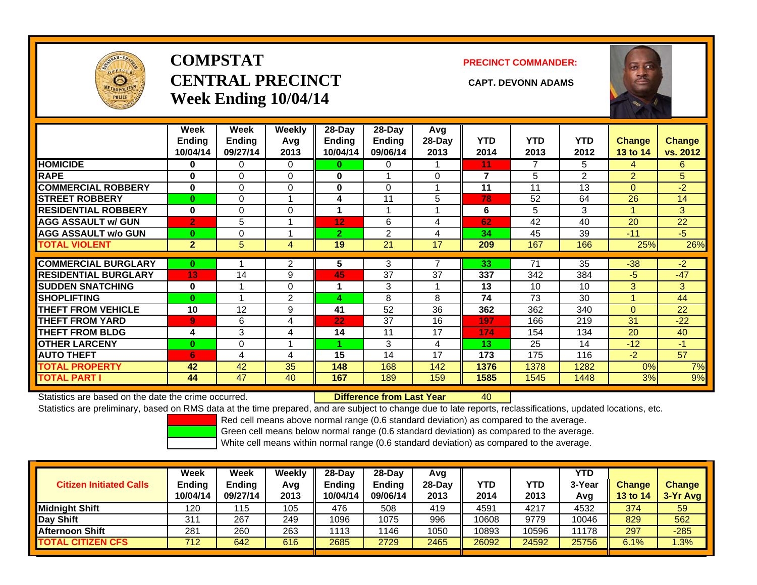

## **COMPSTATCENTRAL PRECINCT CAPT. DEVONN ADAMSWeek Ending 10/04/14**

**PRECINCT COMMANDER:**



|                             | Week           | Week          | Weekly   | 28-Day       | $28-Day$      | Avg      |            |                |                |                 |          |
|-----------------------------|----------------|---------------|----------|--------------|---------------|----------|------------|----------------|----------------|-----------------|----------|
|                             | <b>Ending</b>  | <b>Ending</b> | Avq      | Ending       | <b>Ending</b> | 28-Day   | <b>YTD</b> | <b>YTD</b>     | <b>YTD</b>     | <b>Change</b>   | Change   |
|                             | 10/04/14       | 09/27/14      | 2013     | 10/04/14     | 09/06/14      | 2013     | 2014       | 2013           | 2012           | <b>13 to 14</b> | vs. 2012 |
| <b>HOMICIDE</b>             | $\bf{0}$       | 0             | 0        | O            | 0             |          | 11         | $\overline{7}$ | 5              | 4               | 6        |
| <b>RAPE</b>                 | $\bf{0}$       | 0             | $\Omega$ | 0            |               | $\Omega$ | 7          | 5              | $\overline{2}$ | 2               | 5        |
| <b>COMMERCIAL ROBBERY</b>   | $\mathbf{0}$   | 0             | 0        | 0            | $\Omega$      |          | 11         | 11             | 13             | $\Omega$        | $-2$     |
| <b>STREET ROBBERY</b>       | $\bf{0}$       | 0             |          | 4            | 11            | 5        | 78         | 52             | 64             | 26              | 14       |
| <b>RESIDENTIAL ROBBERY</b>  | $\bf{0}$       | 0             | $\Omega$ |              |               |          | 6          | 5              | 3              | 1               | 3        |
| <b>AGG ASSAULT w/ GUN</b>   | $\overline{2}$ | 5             |          | 12           | 6             | 4        | 62         | 42             | 40             | 20              | 22       |
| <b>AGG ASSAULT w/o GUN</b>  | $\bf{0}$       | 0             |          | $\mathbf{2}$ | 2             | 4        | 34         | 45             | 39             | $-11$           | $-5$     |
| <b>TOTAL VIOLENT</b>        | $\overline{2}$ | 5             | 4        | 19           | 21            | 17       | 209        | 167            | 166            | 25%             | 26%      |
| <b>COMMERCIAL BURGLARY</b>  | $\bf{0}$       |               | 2        | 5            | 3             | ⇁        | 33         | 71             | 35             | $-38$           | $-2$     |
| <b>RESIDENTIAL BURGLARY</b> | 13             | 14            |          | 45           | 37            | 37       |            |                |                | $-5$            | $-47$    |
|                             |                |               | 9        |              |               |          | 337        | 342            | 384            |                 |          |
| <b>SUDDEN SNATCHING</b>     | $\bf{0}$       |               | $\Omega$ |              | 3             |          | 13         | 10             | 10             | 3               | 3        |
| <b>SHOPLIFTING</b>          | $\bf{0}$       |               | 2        | Δ            | 8             | 8        | 74         | 73             | 30             | 4               | 44       |
| <b>THEFT FROM VEHICLE</b>   | 10             | 12            | 9        | 41           | 52            | 36       | 362        | 362            | 340            | $\Omega$        | 22       |
| <b>THEFT FROM YARD</b>      | $\overline{9}$ | 6             | 4        | 22           | 37            | 16       | 197        | 166            | 219            | 31              | $-22$    |
| <b>THEFT FROM BLDG</b>      | 4              | 3             | 4        | 14           | 11            | 17       | 174        | 154            | 134            | 20              | 40       |
| <b>OTHER LARCENY</b>        | $\bf{0}$       | 0             | 4        |              | 3             | 4        | 13         | 25             | 14             | $-12$           | $-1$     |
| <b>AUTO THEFT</b>           | 6              | 4             | 4        | 15           | 14            | 17       | 173        | 175            | 116            | $-2$            | 57       |
| TOTAL PROPERTY              | 42             | 42            | 35       | 148          | 168           | 142      | 1376       | 1378           | 1282           | 0%              | 7%       |
| <b>TOTAL PART I</b>         | 44             | 47            | 40       | 167          | 189           | 159      | 1585       | 1545           | 1448           | 3%              | 9%       |

Statistics are based on the date the crime occurred. **Difference from Last Year** 

40

Statistics are preliminary, based on RMS data at the time prepared, and are subject to change due to late reports, reclassifications, updated locations, etc.

Red cell means above normal range (0.6 standard deviation) as compared to the average.

Green cell means below normal range (0.6 standard deviation) as compared to the average.

| <b>Citizen Initiated Calls</b> | Week<br><b>Ending</b><br>10/04/14 | <b>Week</b><br><b>Ending</b><br>09/27/14 | Weekly<br>Avg<br>2013 | $28-Dav$<br><b>Ending</b><br>10/04/14 | $28$ -Dav<br><b>Ending</b><br>09/06/14 | Avg<br>28-Dav<br>2013 | YTD<br>2014 | <b>YTD</b><br>2013 | YTD<br>3-Year<br>Avg | <b>Change</b><br>13 to 14 | <b>Change</b><br>$3-Yr$ Avg |
|--------------------------------|-----------------------------------|------------------------------------------|-----------------------|---------------------------------------|----------------------------------------|-----------------------|-------------|--------------------|----------------------|---------------------------|-----------------------------|
| Midnight Shift                 | 120                               | 115                                      | 105                   | 476                                   | 508                                    | 419                   | 4591        | 4217               | 4532                 | 374                       | 59                          |
| Day Shift                      | 311                               | 267                                      | 249                   | 1096                                  | 1075                                   | 996                   | 10608       | 9779               | 10046                | 829                       | 562                         |
| <b>Afternoon Shift</b>         | 281                               | 260                                      | 263                   | 113                                   | 1146                                   | 1050                  | 10893       | 10596              | 1178                 | 297                       | $-285$                      |
| <b>TOTAL CITIZEN CFS</b>       | 712                               | 642                                      | 616                   | 2685                                  | 2729                                   | 2465                  | 26092       | 24592              | 25756                | 6.1%                      | .3%                         |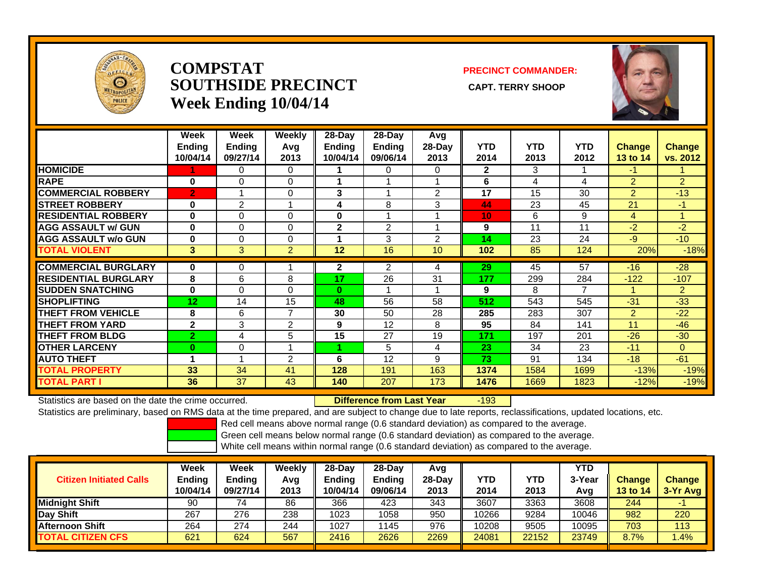

### **COMPSTATSOUTHSIDE PRECINCT** CAPT. TERRY SHOOP **Week Ending 10/04/14**

### **PRECINCT COMMANDER:**



|                             | Week<br><b>Endina</b><br>10/04/14 | Week<br><b>Ending</b><br>09/27/14 | <b>Weekly</b><br>Avg<br>2013 | 28-Day<br><b>Ending</b><br>10/04/14 | $28$ -Day<br><b>Endina</b><br>09/06/14 | Avg<br>$28-Day$<br>2013 | <b>YTD</b><br>2014 | <b>YTD</b><br>2013 | <b>YTD</b><br>2012 | <b>Change</b><br>13 to 14 | <b>Change</b><br>vs. 2012 |
|-----------------------------|-----------------------------------|-----------------------------------|------------------------------|-------------------------------------|----------------------------------------|-------------------------|--------------------|--------------------|--------------------|---------------------------|---------------------------|
| <b>HOMICIDE</b>             |                                   | 0                                 | $\Omega$                     |                                     | 0                                      | 0                       | 2                  | 3                  |                    | $-1$                      |                           |
| <b>RAPE</b>                 | $\bf{0}$                          | 0                                 | 0                            |                                     |                                        |                         | 6                  | 4                  | 4                  | 2                         | $\overline{2}$            |
| <b>COMMERCIAL ROBBERY</b>   | $\overline{2}$                    |                                   | $\Omega$                     | 3                                   |                                        | $\overline{2}$          | 17                 | 15                 | 30                 | $\overline{2}$            | $-13$                     |
| <b>STREET ROBBERY</b>       | $\bf{0}$                          | 2                                 |                              | 4                                   | 8                                      | 3                       | 44                 | 23                 | 45                 | 21                        | $-1$                      |
| <b>IRESIDENTIAL ROBBERY</b> | $\bf{0}$                          | 0                                 | 0                            | $\bf{0}$                            |                                        |                         | 10                 | 6                  | 9                  | 4                         |                           |
| <b>AGG ASSAULT w/ GUN</b>   | $\bf{0}$                          | $\Omega$                          | 0                            | $\mathbf{2}$                        | 2                                      |                         | 9                  | 11                 | 11                 | -2                        | $-2$                      |
| <b>AGG ASSAULT w/o GUN</b>  | $\bf{0}$                          | $\Omega$                          | $\Omega$                     |                                     | 3                                      | 2                       | 14                 | 23                 | 24                 | $-9$                      | $-10$                     |
| <b>TOTAL VIOLENT</b>        | 3                                 | 3                                 | $\overline{2}$               | 12                                  | 16                                     | 10                      | 102                | 85                 | 124                | 20%                       | $-18%$                    |
| <b>COMMERCIAL BURGLARY</b>  | $\bf{0}$                          | 0                                 |                              | $\mathbf{2}$                        | 2                                      | 4                       | 29                 | 45                 | 57                 | $-16$                     | $-28$                     |
| <b>RESIDENTIAL BURGLARY</b> | 8                                 | 6                                 | 8                            | 17                                  | 26                                     | 31                      | 177                | 299                | 284                | $-122$                    | $-107$                    |
| <b>ISUDDEN SNATCHING</b>    | $\bf{0}$                          | $\Omega$                          | $\Omega$                     | $\bf{0}$                            |                                        |                         | 9                  | 8                  | 7                  | 4                         | $\overline{2}$            |
| <b>SHOPLIFTING</b>          | 12                                | 14                                | 15                           | 48                                  | 56                                     | 58                      | 512                | 543                | 545                | $-31$                     | $-33$                     |
| <b>THEFT FROM VEHICLE</b>   | 8                                 | 6                                 | 7                            | 30                                  | 50                                     | 28                      | 285                | 283                | 307                | 2                         | $-22$                     |
| <b>THEFT FROM YARD</b>      | $\mathbf{2}$                      | 3                                 | 2                            | 9                                   | 12                                     | 8                       | 95                 | 84                 | 141                | 11                        | $-46$                     |
| <b>THEFT FROM BLDG</b>      | $\overline{2}$                    | 4                                 | 5                            | 15                                  | 27                                     | 19                      | 171                | 197                | 201                | $-26$                     | $-30$                     |
| <b>OTHER LARCENY</b>        | $\bf{0}$                          | $\Omega$                          |                              |                                     | 5                                      | 4                       | 23                 | 34                 | 23                 | $-11$                     | $\Omega$                  |
| <b>AUTO THEFT</b>           |                                   |                                   | $\overline{2}$               | 6                                   | 12                                     | 9                       | 73                 | 91                 | 134                | $-18$                     | $-61$                     |
| <b>TOTAL PROPERTY</b>       | 33                                | 34                                | 41                           | 128                                 | 191                                    | 163                     | 1374               | 1584               | 1699               | $-13%$                    | $-19%$                    |
| <b>TOTAL PART</b>           | 36                                | 37                                | 43                           | 140                                 | 207                                    | 173                     | 1476               | 1669               | 1823               | $-12%$                    | $-19%$                    |

Statistics are based on the date the crime occurred. **Difference from Last Year** 

r -193

Statistics are preliminary, based on RMS data at the time prepared, and are subject to change due to late reports, reclassifications, updated locations, etc.

Red cell means above normal range (0.6 standard deviation) as compared to the average.

Green cell means below normal range (0.6 standard deviation) as compared to the average.

| <b>Citizen Initiated Calls</b> | Week<br><b>Ending</b><br>10/04/14 | <b>Week</b><br><b>Ending</b><br>09/27/14 | Weekly<br>Avg<br>2013 | 28-Dav<br>Ending<br>10/04/14 | 28-Dav<br><b>Ending</b><br>09/06/14 | Avg<br>28-Day<br>2013 | YTD<br>2014 | YTD<br>2013 | <b>YTD</b><br>3-Year<br>Avq | <b>Change</b><br>13 to 14 | <b>Change</b><br>3-Yr Avg |
|--------------------------------|-----------------------------------|------------------------------------------|-----------------------|------------------------------|-------------------------------------|-----------------------|-------------|-------------|-----------------------------|---------------------------|---------------------------|
| <b>I</b> Midniaht Shift        | 90                                |                                          | 86                    | 366                          | 423                                 | 343                   | 3607        | 3363        | 3608                        | 244                       |                           |
| Day Shift                      | 267                               | 276                                      | 238                   | 1023                         | 1058                                | 950                   | 10266       | 9284        | 10046                       | 982                       | 220                       |
| <b>Afternoon Shift</b>         | 264                               | 274                                      | 244                   | 1027                         | 145                                 | 976                   | 10208       | 9505        | 10095                       | 703                       | 113                       |
| <b>TOTAL CITIZEN CFS</b>       | 621                               | 624                                      | 567                   | 2416                         | 2626                                | 2269                  | 24081       | 22152       | 23749                       | 8.7%                      | .4%                       |